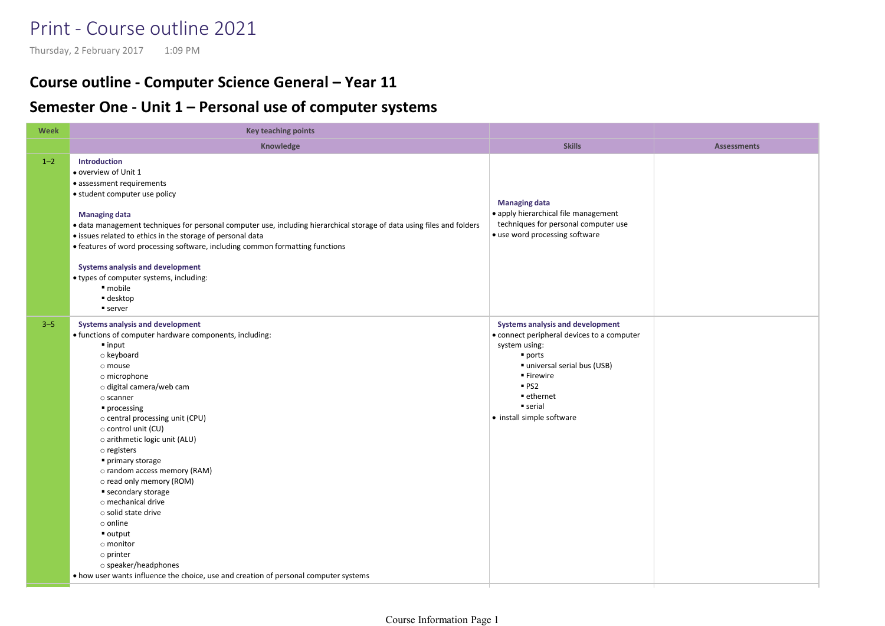## Print - Course outline 2021

## Course outline - Computer Science General – Year 11

## Semester One - Unit 1 – Personal use of computer systems Print - Course outline 2021<br>
Thursday, 2 February 2017 1:09 PM<br> **Course outline - Computer Science General – Year 11**<br> **Semester One - Unit 1 – Personal use of computer systems**

| Week    | <b>Key teaching points</b>                                                                                                                                                                                                                                                                                                                                                                                                                                                                                                                                                                                                                                                                 |                                                                                                                                                                                                                                                         |                    |
|---------|--------------------------------------------------------------------------------------------------------------------------------------------------------------------------------------------------------------------------------------------------------------------------------------------------------------------------------------------------------------------------------------------------------------------------------------------------------------------------------------------------------------------------------------------------------------------------------------------------------------------------------------------------------------------------------------------|---------------------------------------------------------------------------------------------------------------------------------------------------------------------------------------------------------------------------------------------------------|--------------------|
|         | Knowledge                                                                                                                                                                                                                                                                                                                                                                                                                                                                                                                                                                                                                                                                                  | <b>Skills</b>                                                                                                                                                                                                                                           | <b>Assessments</b> |
| $1 - 2$ | <b>Introduction</b><br>· overview of Unit 1<br>• assessment requirements<br>• student computer use policy<br><b>Managing data</b><br>• data management techniques for personal computer use, including hierarchical storage of data using files and folders<br>· issues related to ethics in the storage of personal data<br>• features of word processing software, including common formatting functions<br><b>Systems analysis and development</b><br>● types of computer systems, including:<br>· mobile<br>■ desktop<br>■ server                                                                                                                                                      | <b>Managing data</b><br>• apply hierarchical file management<br>techniques for personal computer use<br>• use word processing software                                                                                                                  |                    |
| $3 - 5$ | <b>Systems analysis and development</b><br>. functions of computer hardware components, including:<br>$\blacksquare$ input<br>o keyboard<br>o mouse<br>o microphone<br>o digital camera/web cam<br>$\circ$ scanner<br>• processing<br>o central processing unit (CPU)<br>o control unit (CU)<br>o arithmetic logic unit (ALU)<br>o registers<br>primary storage<br>o random access memory (RAM)<br>o read only memory (ROM)<br>■ secondary storage<br>o mechanical drive<br>$\circ$ solid state drive<br>$\circ$ online<br>$\blacksquare$ output<br>o monitor<br>o printer<br>o speaker/headphones<br>• how user wants influence the choice, use and creation of personal computer systems | <b>Systems analysis and development</b><br>• connect peripheral devices to a computer<br>system using:<br>$\blacksquare$ ports<br>■ universal serial bus (USB)<br>■ Firewire<br>PS2<br>■ ethernet<br>$\blacksquare$ serial<br>• install simple software |                    |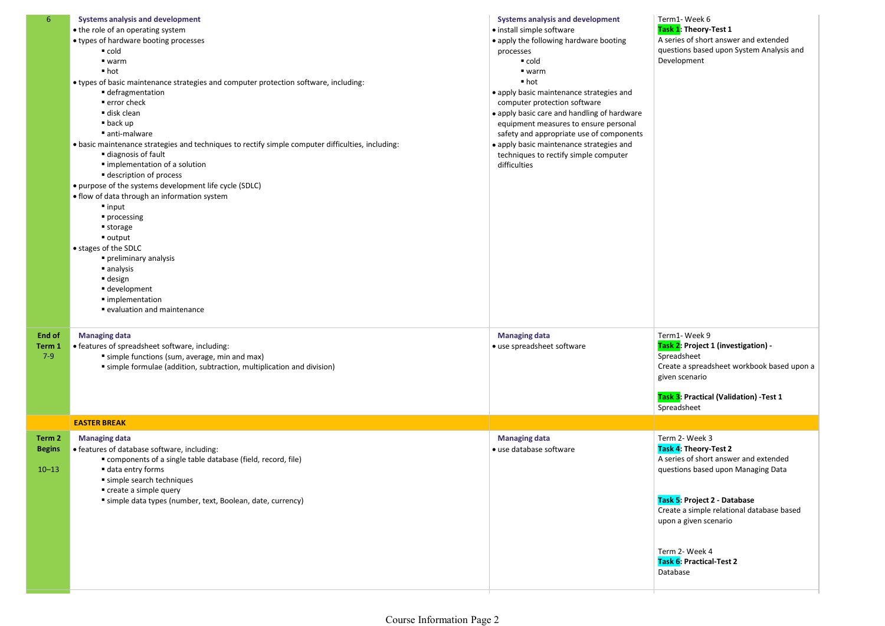| $6^{\circ}$                          | <b>Systems analysis and development</b><br>. the role of an operating system<br>• types of hardware booting processes<br>$\blacksquare$ cold<br>$\blacksquare$ warm<br>■ hot<br>• types of basic maintenance strategies and computer protection software, including:<br>■ defragmentation<br>■ error check<br>disk clean<br>$\blacksquare$ back up<br>anti-malware<br>• basic maintenance strategies and techniques to rectify simple computer difficulties, including:<br>diagnosis of fault<br>■ implementation of a solution<br><b>description of process</b><br>• purpose of the systems development life cycle (SDLC)<br>• flow of data through an information system<br>$\blacksquare$ input<br>processing<br>■ storage<br>$\blacksquare$ output<br>• stages of the SDLC<br>preliminary analysis<br>analysis<br>$\blacksquare$ design<br>■ development<br>· implementation<br>■ evaluation and maintenance | <b>Systems analysis and development</b><br>· install simple software<br>• apply the following hardware booting<br>processes<br>$\blacksquare$ cold<br>$\blacksquare$ warm<br>$\blacksquare$ hot<br>• apply basic maintenance strategies and<br>computer protection software<br>• apply basic care and handling of hardware<br>equipment measures to ensure personal<br>safety and appropriate use of components<br>• apply basic maintenance strategies and<br>techniques to rectify simple computer<br>difficulties | Term1-Week 6<br>Task 1: Theory-Test 1<br>A series of short answer and extended<br>questions based upon System Analysis and<br>Development                                                                                                                                              |
|--------------------------------------|------------------------------------------------------------------------------------------------------------------------------------------------------------------------------------------------------------------------------------------------------------------------------------------------------------------------------------------------------------------------------------------------------------------------------------------------------------------------------------------------------------------------------------------------------------------------------------------------------------------------------------------------------------------------------------------------------------------------------------------------------------------------------------------------------------------------------------------------------------------------------------------------------------------|----------------------------------------------------------------------------------------------------------------------------------------------------------------------------------------------------------------------------------------------------------------------------------------------------------------------------------------------------------------------------------------------------------------------------------------------------------------------------------------------------------------------|----------------------------------------------------------------------------------------------------------------------------------------------------------------------------------------------------------------------------------------------------------------------------------------|
| End of<br>Term 1<br>$7-9$            | <b>Managing data</b><br>• features of spreadsheet software, including:<br>simple functions (sum, average, min and max)<br>simple formulae (addition, subtraction, multiplication and division)                                                                                                                                                                                                                                                                                                                                                                                                                                                                                                                                                                                                                                                                                                                   | <b>Managing data</b><br>· use spreadsheet software                                                                                                                                                                                                                                                                                                                                                                                                                                                                   | Term1-Week 9<br>Task 2: Project 1 (investigation) -<br>Spreadsheet<br>Create a spreadsheet workbook based upon a<br>given scenario<br>Task 3: Practical (Validation) - Test 1<br>Spreadsheet                                                                                           |
|                                      | <b>EASTER BREAK</b>                                                                                                                                                                                                                                                                                                                                                                                                                                                                                                                                                                                                                                                                                                                                                                                                                                                                                              |                                                                                                                                                                                                                                                                                                                                                                                                                                                                                                                      |                                                                                                                                                                                                                                                                                        |
| Term 2<br><b>Begins</b><br>$10 - 13$ | <b>Managing data</b><br>· features of database software, including:<br>" components of a single table database (field, record, file)<br>data entry forms<br>simple search techniques<br>create a simple query<br>simple data types (number, text, Boolean, date, currency)                                                                                                                                                                                                                                                                                                                                                                                                                                                                                                                                                                                                                                       | <b>Managing data</b><br>· use database software                                                                                                                                                                                                                                                                                                                                                                                                                                                                      | Term 2- Week 3<br>Task 4: Theory-Test 2<br>A series of short answer and extended<br>questions based upon Managing Data<br>Task 5: Project 2 - Database<br>Create a simple relational database based<br>upon a given scenario<br>Term 2- Week 4<br>Task 6: Practical-Test 2<br>Database |
|                                      |                                                                                                                                                                                                                                                                                                                                                                                                                                                                                                                                                                                                                                                                                                                                                                                                                                                                                                                  |                                                                                                                                                                                                                                                                                                                                                                                                                                                                                                                      |                                                                                                                                                                                                                                                                                        |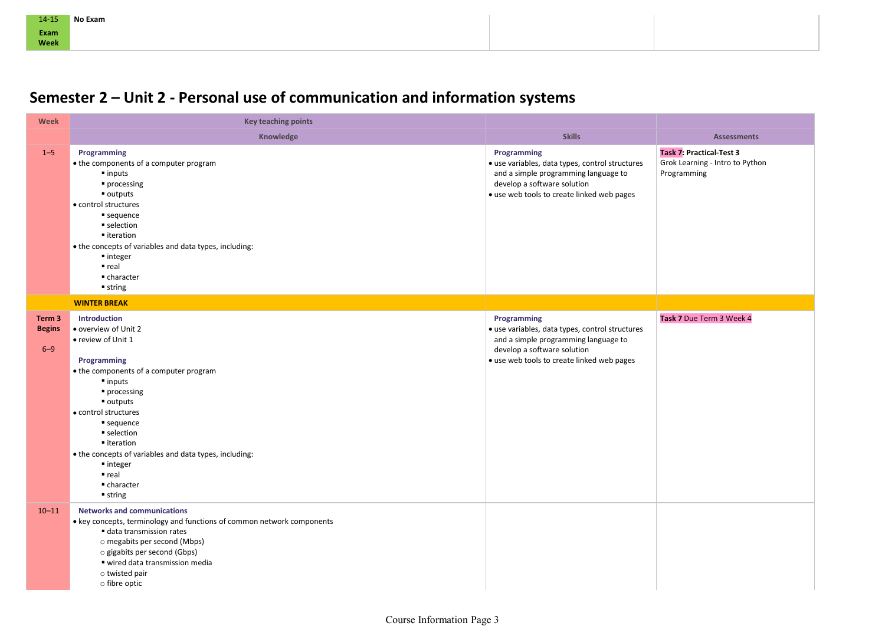## Semester 2 – Unit 2 - Personal use of communication and information systems

| 14-15<br>Exam<br>Week              | No Exam                                                                                                                                                                                                                                                                                                                                                               |                                                                                                                                                                                                      |                                                                                                         |
|------------------------------------|-----------------------------------------------------------------------------------------------------------------------------------------------------------------------------------------------------------------------------------------------------------------------------------------------------------------------------------------------------------------------|------------------------------------------------------------------------------------------------------------------------------------------------------------------------------------------------------|---------------------------------------------------------------------------------------------------------|
|                                    | Semester 2 - Unit 2 - Personal use of communication and information systems                                                                                                                                                                                                                                                                                           |                                                                                                                                                                                                      |                                                                                                         |
| Week                               | <b>Key teaching points</b>                                                                                                                                                                                                                                                                                                                                            |                                                                                                                                                                                                      |                                                                                                         |
| $1 - 5$                            | Knowledge<br>Programming<br>• the components of a computer program<br>$\blacksquare$ inputs<br>• processing<br>outputs =                                                                                                                                                                                                                                              | <b>Skills</b><br>Programming<br>· use variables, data types, control structures<br>and a simple programming language to<br>develop a software solution<br>• use web tools to create linked web pages | <b>Assessments</b><br><b>Task 7: Practical-Test 3</b><br>Grok Learning - Intro to Python<br>Programming |
|                                    | • control structures<br>sequence<br>selection<br>■ iteration<br>. the concepts of variables and data types, including:<br>■ integer                                                                                                                                                                                                                                   |                                                                                                                                                                                                      |                                                                                                         |
|                                    | $r$ real<br>■ character<br>$\blacksquare$ string                                                                                                                                                                                                                                                                                                                      |                                                                                                                                                                                                      |                                                                                                         |
|                                    | <b>WINTER BREAK</b>                                                                                                                                                                                                                                                                                                                                                   |                                                                                                                                                                                                      |                                                                                                         |
| Term 3<br><b>Begins</b><br>$6 - 9$ | <b>Introduction</b><br>overview of Unit 2<br>• review of Unit 1<br>Programming<br>• the components of a computer program<br>$\blacksquare$ inputs<br>processing<br>$\blacksquare$ outputs<br>• control structures<br>sequence<br>selection<br>■ iteration<br>• the concepts of variables and data types, including:<br>■ integer<br>• real<br>■ character<br>■ string | Programming<br>· use variables, data types, control structures<br>and a simple programming language to<br>develop a software solution<br>· use web tools to create linked web pages                  | Task 7 Due Term 3 Week 4                                                                                |
| $10 - 11$                          | <b>Networks and communications</b><br>• key concepts, terminology and functions of common network components<br>data transmission rates<br>o megabits per second (Mbps)<br>o gigabits per second (Gbps)<br>■ wired data transmission media<br>$\circ$ twisted pair<br>o fibre optic                                                                                   |                                                                                                                                                                                                      |                                                                                                         |